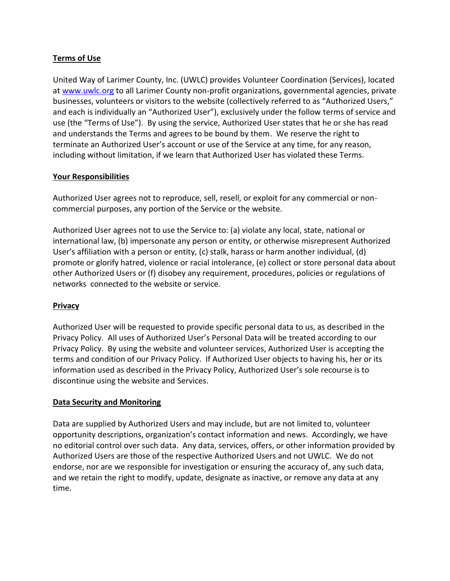# **Terms of Use**

United Way of Larimer County, Inc. (UWLC) provides Volunteer Coordination (Services), located at [www.uwlc.org](http://www.uwlc.org/) to all Larimer County non-profit organizations, governmental agencies, private businesses, volunteers or visitors to the website (collectively referred to as "Authorized Users," and each is individually an "Authorized User"), exclusively under the follow terms of service and use (the "Terms of Use"). By using the service, Authorized User states that he or she has read and understands the Terms and agrees to be bound by them. We reserve the right to terminate an Authorized User's account or use of the Service at any time, for any reason, including without limitation, if we learn that Authorized User has violated these Terms.

#### **Your Responsibilities**

Authorized User agrees not to reproduce, sell, resell, or exploit for any commercial or noncommercial purposes, any portion of the Service or the website.

Authorized User agrees not to use the Service to: (a) violate any local, state, national or international law, (b) impersonate any person or entity, or otherwise misrepresent Authorized User's affiliation with a person or entity, (c) stalk, harass or harm another individual, (d) promote or glorify hatred, violence or racial intolerance, (e) collect or store personal data about other Authorized Users or (f) disobey any requirement, procedures, policies or regulations of networks connected to the website or service.

### **Privacy**

Authorized User will be requested to provide specific personal data to us, as described in the Privacy Policy. All uses of Authorized User's Personal Data will be treated according to our Privacy Policy. By using the website and volunteer services, Authorized User is accepting the terms and condition of our Privacy Policy. If Authorized User objects to having his, her or its information used as described in the Privacy Policy, Authorized User's sole recourse is to discontinue using the website and Services.

### **Data Security and Monitoring**

Data are supplied by Authorized Users and may include, but are not limited to, volunteer opportunity descriptions, organization's contact information and news. Accordingly, we have no editorial control over such data. Any data, services, offers, or other information provided by Authorized Users are those of the respective Authorized Users and not UWLC. We do not endorse, nor are we responsible for investigation or ensuring the accuracy of, any such data, and we retain the right to modify, update, designate as inactive, or remove any data at any time.